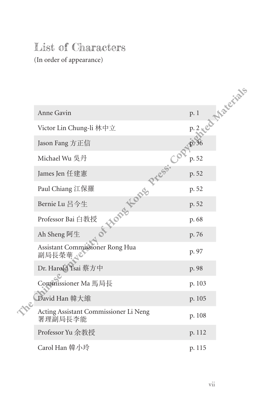## List of Characters

(In order of appearance)

|                                                  | P.2 compreciate |
|--------------------------------------------------|-----------------|
| Anne Gavin                                       |                 |
| Victor Lin Chung-li 林中立                          |                 |
| Jason Fang 方正信                                   |                 |
| Michael Wu 吳丹                                    | p. 52           |
| of thores flores press. Col<br>James Jen 任建憲     | p. 52           |
| Paul Chiang 江保羅                                  | p. 52           |
| Bernie Lu 呂今生                                    | p. 52           |
| Professor Bai 白教授                                | p. 68           |
| Ah Sheng 阿生                                      | p. 76           |
| Assistant Commissioner Rong Hua<br>副局長榮華人        | p. 97           |
| Dr. Harold Tsai 蔡方中                              | p. 98           |
| Commissioner Ma 馬局長                              | p. 103          |
| David Han 韓大維                                    | p. 105          |
| Acting Assistant Commissioner Li Neng<br>署理副局長李能 | p. 108          |
| Professor Yu 余教授                                 | p. 112          |
| Carol Han 韓小玲                                    | p. 115          |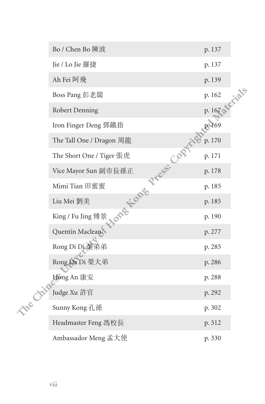|          | Bo / Chen Bo 陳波                         | p. 137          |  |
|----------|-----------------------------------------|-----------------|--|
|          | Jie / Lo Jie 羅捷                         | p. 137          |  |
|          | Ah Fei 阿飛                               | p. 139          |  |
|          | Boss Pang 彭老闆                           | P. 167 & erials |  |
|          | Robert Denning                          |                 |  |
|          | Iron Finger Deng 鄧鐵指                    | <b>P. 169</b>   |  |
|          | The Tall One / Dragon 周龍                | p. 170          |  |
|          | The Short One / Tiger 張虎                | p. 171          |  |
|          | Vice Mayor Sun 副市長孫正                    | p. 178          |  |
|          | None Kone Press. Copyr<br>Mimi Tian 田蜜蜜 | p. 185          |  |
|          | Liu Mei 劉美                              | p. 185          |  |
|          | King / Fu Jing 傅景                       | p. 190          |  |
|          | Quentin Maclean                         | p. 277          |  |
|          | Rong Di Di 榮弟弟                          | p. 285          |  |
|          | Rong Da Di 榮大弟                          | p. 286          |  |
|          | Hong An 康安                              | p. 288          |  |
|          | Judge Xu 許官                             | p. 292          |  |
| The Chip | Sunny Kong 孔孫                           | p. 302          |  |
|          | Headmaster Feng 馮校長                     | p. 312          |  |
|          | Ambassador Meng 孟大使                     | p. 330          |  |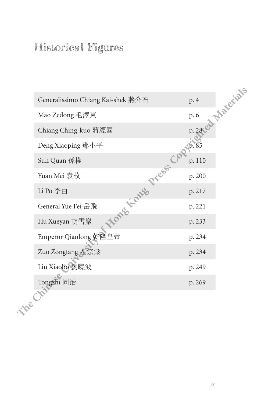## Historical Figures

| Generalissimo Chiang Kai-shek 蔣介石 | P. 28 cd Materials |
|-----------------------------------|--------------------|
| Mao Zedong 毛澤東                    |                    |
| Chiang Ching-kuo 蔣經國              |                    |
| Deng Xiaoping 鄧小平                 | 10.85              |
| Sun Quan 孫權<br>Hong Long Press. C | p. 110             |
| Yuan Mei 袁枚                       | p. 200             |
| Li Po 李白                          | p. 217             |
| General Yue Fei 岳飛                | p. 221             |
| Hu Xueyan 胡雪巖                     | p. 233             |
| Emperor Qianlong 乾隆皇帝             | p. 234             |
| Zuo Zongtang 左宗棠                  | p. 234             |
| Liu Xiaobo 劉曉波                    | p. 249             |
| Tongzhi 同治                        | p. 269             |
| te Chit                           |                    |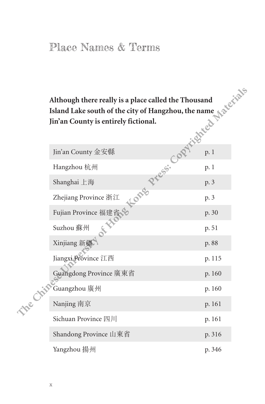## Place Names & Terms

| Although there really is a place called the Thousand |               |
|------------------------------------------------------|---------------|
| Island Lake south of the city of Hangzhou, the name  |               |
| Jin'an County is entirely fictional.                 | $\mathcal{L}$ |

| Atthough there really is a place called the Thousand<br>Island Lake south of the city of Hangzhou, the name<br>Jin'an County is entirely fictional.<br>Jin'an County 金安縣<br>Jin'an County 金安縣<br>P. 1<br>Hangzhou 杭州<br>Shanghai 上海<br>Zhejia |        |
|-----------------------------------------------------------------------------------------------------------------------------------------------------------------------------------------------------------------------------------------------|--------|
|                                                                                                                                                                                                                                               |        |
|                                                                                                                                                                                                                                               |        |
|                                                                                                                                                                                                                                               |        |
|                                                                                                                                                                                                                                               |        |
| Fujian Province 福建省、                                                                                                                                                                                                                          |        |
| <b>SILLED</b><br>Suzhou 蘇州                                                                                                                                                                                                                    | p. 51  |
| Xinjiang 新疆                                                                                                                                                                                                                                   | p. 88  |
| Jiangxi Province 江西                                                                                                                                                                                                                           | p. 115 |
| Guangdong Province 廣東省                                                                                                                                                                                                                        | p. 160 |
| me Chin<br>Guangzhou 廣州                                                                                                                                                                                                                       | p. 160 |
| Nanjing 南京                                                                                                                                                                                                                                    | p. 161 |
| Sichuan Province 四川                                                                                                                                                                                                                           | p. 161 |
| Shandong Province 山東省                                                                                                                                                                                                                         | p. 316 |
| Yangzhou 揚州                                                                                                                                                                                                                                   | p. 346 |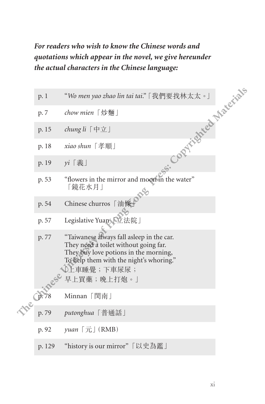## *For readers who wish to know the Chinese words and quotations which appear in the novel, we give hereunder the actual characters in the Chinese language:*

|        | the actual characters in the Chinese language:                                                                                                                                                       |
|--------|------------------------------------------------------------------------------------------------------------------------------------------------------------------------------------------------------|
| p.1    | <b>CORPHISHED MATERIALS</b><br>"Wo men yao zhao lin tai tai." [我們要找林太太。]                                                                                                                             |
| p. 7   | chow mien 「炒麵」                                                                                                                                                                                       |
| p. 15  | chung $li$ [中立]                                                                                                                                                                                      |
| p. 18  | xiao shun 「孝順」                                                                                                                                                                                       |
| p. 19  | yi 「義」                                                                                                                                                                                               |
| p. 53  | "flowers in the mirror and moon in the water"<br>「鏡花水月」                                                                                                                                              |
| p. 54  | Chinese churros 「油條」                                                                                                                                                                                 |
| p. 57  | Legislative Yuan 【立法院」                                                                                                                                                                               |
| p. 77  | "Taiwanese always fall asleep in the car.<br>They need a toilet without going far.<br>They buy love potions in the morning,<br>To help them with the night's whoring."<br>♪上車睡覺;下車尿尿;<br>早上買藥;晚上打炮。」 |
| p.78   | Minnan「閔南」                                                                                                                                                                                           |
| p. 79  | putonghua「普通話」                                                                                                                                                                                       |
| p. 92  | $yuan$ $\lceil \overrightarrow{\text{T}} \rceil$ (RMB)                                                                                                                                               |
| p. 129 | "history is our mirror" 「以史為鑑」                                                                                                                                                                       |